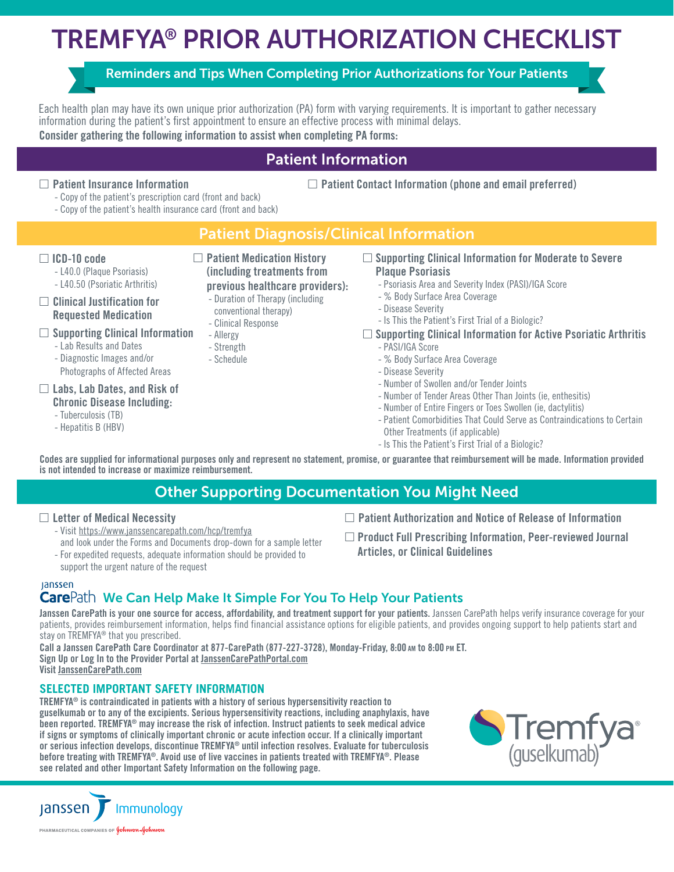# TREMFYA® PRIOR AUTHORIZATION CHECKLIST

# Reminders and Tips When Completing Prior Authorizations for Your Patients

Each health plan may have its own unique prior authorization (PA) form with varying requirements. It is important to gather necessary information during the patient's first appointment to ensure an effective process with minimal delays.

Consider gathering the following information to assist when completing PA forms:

# Patient Information

### $\Box$  Patient Insurance Information

 $\Box$  Patient Contact Information (phone and email preferred)

- Copy of the patient's prescription card (front and back) - Copy of the patient's health insurance card (front and back)

# Patient Diagnosis/Clinical Information

### $\Box$  ICD-10 code

- L40.0 (Plaque Psoriasis)
- L40.50 (Psoriatic Arthritis)

#### $\square$  Clinical Justification for Requested Medication

### $\square$  Supporting Clinical Information

- Lab Results and Dates
- Diagnostic Images and/or Photographs of Affected Areas

# $\Box$  Labs, Lab Dates, and Risk of

### Chronic Disease Including:

- Tuberculosis (TB)
- Hepatitis B (HBV)
- $\Box$  Patient Medication History (including treatments from
	- previous healthcare providers):
	- Duration of Therapy (including
	- conventional therapy) - Clinical Response
	-
	- Allergy
	- Strength
	- Schedule

#### $\square$  Supporting Clinical Information for Moderate to Severe Plaque Psoriasis

- Psoriasis Area and Severity Index (PASI)/IGA Score
- % Body Surface Area Coverage
- Disease Severity
- Is This the Patient's First Trial of a Biologic?
- $\square$  Supporting Clinical Information for Active Psoriatic Arthritis
	- PASI/IGA Score
	- % Body Surface Area Coverage
	- Disease Severity
	- Number of Swollen and/or Tender Joints
	- Number of Tender Areas Other Than Joints (ie, enthesitis)
	- Number of Entire Fingers or Toes Swollen (ie, dactylitis)
	- Patient Comorbidities That Could Serve as Contraindications to Certain Other Treatments (if applicable)
	- Is This the Patient's First Trial of a Biologic?

Codes are supplied for informational purposes only and represent no statement, promise, or guarantee that reimbursement will be made. Information provided is not intended to increase or maximize reimbursement.

# Other Supporting Documentation You Might Need

### $\square$  Letter of Medical Necessity

- Visit https://www.janssencarepath.com/hcp/tremfya
- and look under the Forms and Documents drop-down for a sample letter - For expedited requests, adequate information should be provided to support the urgent nature of the request
- $\Box$  Patient Authorization and Notice of Release of Information
- $\square$  Product Full Prescribing Information, Peer-reviewed Journal Articles, or Clinical Guidelines

# lanssen

# Care Path We Can Help Make It Simple For You To Help Your Patients

Janssen CarePath is your one source for access, affordability, and treatment support for your patients. Janssen CarePath helps verify insurance coverage for your patients, provides reimbursement information, helps find financial assistance options for eligible patients, and provides ongoing support to help patients start and stay on TREMFYA<sup>®</sup> that you prescribed.

Call a Janssen CarePath Care Coordinator at 877-CarePath (877-227-3728), Monday-Friday, 8:00 am to 8:00 pm ET. Sign Up or Log In to the Provider Portal at [JanssenCarePathPortal.com](http://JanssenCarePathPortal.com) Visit [JanssenCarePath.com](http://www.janssencarepath.com/hcp/tremfya)

### **SELECTED IMPORTANT SAFETY INFORMATION**

TREMFYA® is contraindicated in patients with a history of serious hypersensitivity reaction to guselkumab or to any of the excipients. Serious hypersensitivity reactions, including anaphylaxis, have been reported. TREMFYA® may increase the risk of infection. Instruct patients to seek medical advice if signs or symptoms of clinically important chronic or acute infection occur. If a clinically important or serious infection develops, discontinue TREMFYA® until infection resolves. Evaluate for tuberculosis before treating with TREMFYA®. Avoid use of live vaccines in patients treated with TREMFYA®. Please see related and other Important Safety Information on the following page.